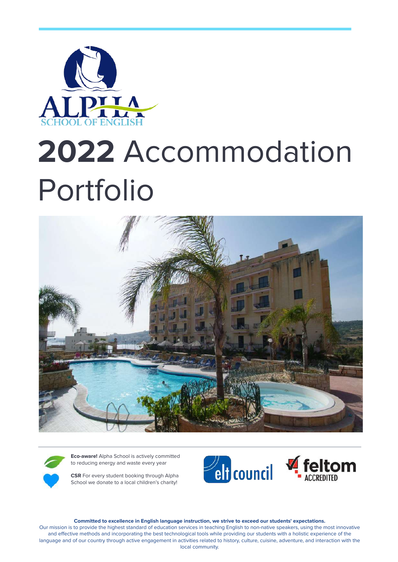

# **2022** Accommodation Portfolio



**Eco-aware!** Alpha School is actively committed to reducing energy and waste every year

**CSR** For every student booking through Alpha School we donate to a local children's charity!



**Committed to excellence in English language instruction, we strive to exceed our students' expectations.**

Our mission is to provide the highest standard of education services in teaching English to non-native speakers, using the most innovative and effective methods and incorporating the best technological tools while providing our students with a holistic experience of the language and of our country through active engagement in activities related to history, culture, cuisine, adventure, and interaction with the local community.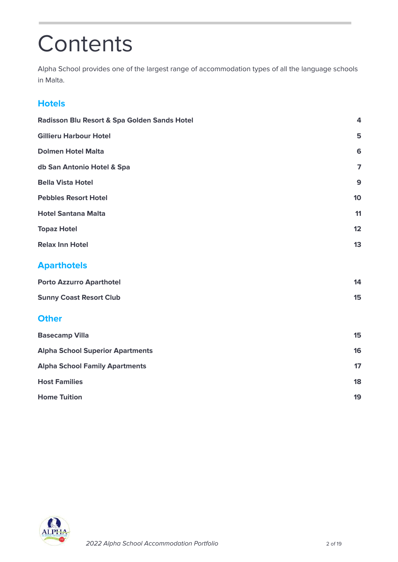### **Contents**

Alpha School provides one of the largest range of accommodation types of all the language schools in Malta.

### **Hotels**

| Radisson Blu Resort & Spa Golden Sands Hotel | 4                       |
|----------------------------------------------|-------------------------|
| <b>Gillieru Harbour Hotel</b>                | 5                       |
| <b>Dolmen Hotel Malta</b>                    | 6                       |
| db San Antonio Hotel & Spa                   | $\overline{\mathbf{z}}$ |
| <b>Bella Vista Hotel</b>                     | $\mathbf{9}$            |
| <b>Pebbles Resort Hotel</b>                  | 10                      |
| <b>Hotel Santana Malta</b>                   | 11                      |
| <b>Topaz Hotel</b>                           | 12                      |
| <b>Relax Inn Hotel</b>                       | 13                      |
| <b>Aparthotels</b>                           |                         |
| <b>Porto Azzurro Aparthotel</b>              | 14                      |
| <b>Sunny Coast Resort Club</b>               | 15                      |
| <b>Other</b>                                 |                         |
| <b>Basecamp Villa</b>                        | 15                      |
| <b>Alpha School Superior Apartments</b>      | 16                      |
| <b>Alpha School Family Apartments</b>        | 17                      |
| <b>Host Families</b>                         | 18                      |
| <b>Home Tuition</b>                          | 19                      |

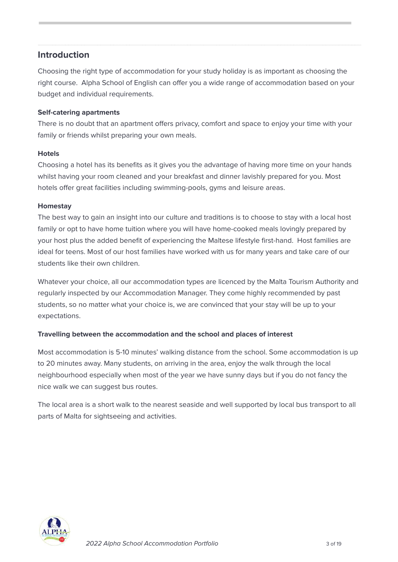#### **Introduction**

Choosing the right type of accommodation for your study holiday is as important as choosing the right course. Alpha School of English can offer you a wide range of accommodation based on your budget and individual requirements.

#### **Self-catering apartments**

There is no doubt that an apartment offers privacy, comfort and space to enjoy your time with your family or friends whilst preparing your own meals.

#### **Hotels**

Choosing a hotel has its benefits as it gives you the advantage of having more time on your hands whilst having your room cleaned and your breakfast and dinner lavishly prepared for you. Most hotels offer great facilities including swimming-pools, gyms and leisure areas.

#### **Homestay**

The best way to gain an insight into our culture and traditions is to choose to stay with a local host family or opt to have home tuition where you will have home-cooked meals lovingly prepared by your host plus the added benefit of experiencing the Maltese lifestyle first-hand. Host families are ideal for teens. Most of our host families have worked with us for many years and take care of our students like their own children.

Whatever your choice, all our accommodation types are licenced by the Malta Tourism Authority and regularly inspected by our Accommodation Manager. They come highly recommended by past students, so no matter what your choice is, we are convinced that your stay will be up to your expectations.

#### **Travelling between the accommodation and the school and places of interest**

Most accommodation is 5-10 minutes' walking distance from the school. Some accommodation is up to 20 minutes away. Many students, on arriving in the area, enjoy the walk through the local neighbourhood especially when most of the year we have sunny days but if you do not fancy the nice walk we can suggest bus routes.

The local area is a short walk to the nearest seaside and well supported by local bus transport to all parts of Malta for sightseeing and activities.

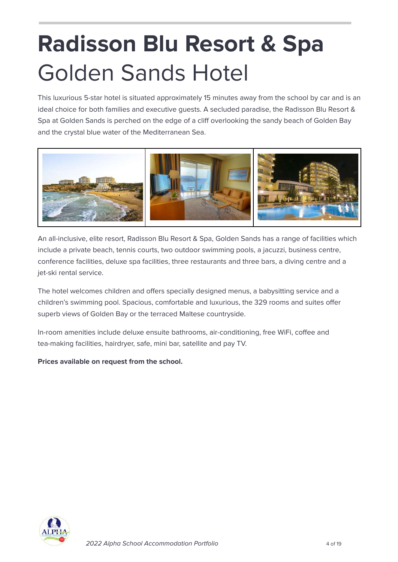# <span id="page-3-0"></span>**Radisson Blu Resort & Spa** Golden Sands Hotel

This luxurious 5-star hotel is situated approximately 15 minutes away from the school by car and is an ideal choice for both families and executive guests. A secluded paradise, the Radisson Blu Resort & Spa at Golden Sands is perched on the edge of a cliff overlooking the sandy beach of Golden Bay and the crystal blue water of the Mediterranean Sea.



An all-inclusive, elite resort, Radisson Blu Resort & Spa, Golden Sands has a range of facilities which include a private beach, tennis courts, two outdoor swimming pools, a jacuzzi, business centre, conference facilities, deluxe spa facilities, three restaurants and three bars, a diving centre and a jet-ski rental service.

The hotel welcomes children and offers specially designed menus, a babysitting service and a children's swimming pool. Spacious, comfortable and luxurious, the 329 rooms and suites offer superb views of Golden Bay or the terraced Maltese countryside.

In-room amenities include deluxe ensuite bathrooms, air-conditioning, free WiFi, coffee and tea-making facilities, hairdryer, safe, mini bar, satellite and pay TV.

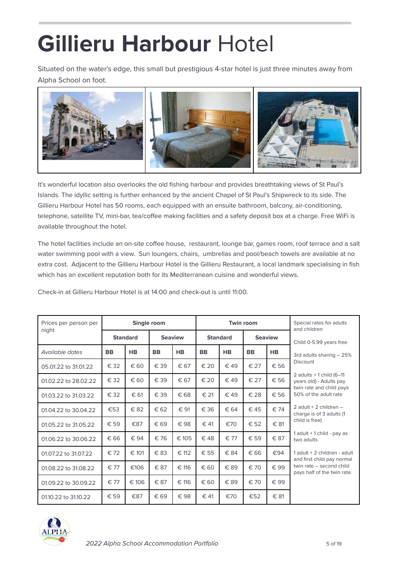### <span id="page-4-0"></span>**Gillieru Harbour** Hotel

Situated on the water's edge, this small but prestigious 4-star hotel is just three minutes away from Alpha School on foot.



It's wonderful location also overlooks the old fishing harbour and provides breathtaking views of St Paul's Islands. The idyllic setting is further enhanced by the ancient Chapel of St Paul's Shipwreck to its side. The Gillieru Harbour Hotel has 50 rooms, each equipped with an ensuite bathroom, balcony, air-conditioning, telephone, satellite TV, mini-bar, tea/coffee making facilities and a safety deposit box at a charge. Free WiFi is available throughout the hotel.

The hotel facilities include an on-site coffee house, restaurant, lounge bar, games room, roof terrace and a salt water swimming pool with a view. Sun loungers, chairs, umbrellas and pool/beach towels are available at no extra cost. Adjacent to the Gillieru Harbour Hotel is the Gillieru Restaurant, a local landmark specialising in fish which has an excellent reputation both for its Mediterranean cuisine and wonderful views.

Check-in at Gillieru Harbour Hotel is at 14:00 and check-out is until 11:00.

| Prices per person per |               |                 | Single room |                | <b>Twin room</b> |                 |           |                | Special rates for adults<br>and children                   |  |
|-----------------------|---------------|-----------------|-------------|----------------|------------------|-----------------|-----------|----------------|------------------------------------------------------------|--|
| night                 |               | <b>Standard</b> |             | <b>Seaview</b> |                  | <b>Standard</b> |           | <b>Seaview</b> | Child 0-5.99 years free                                    |  |
| Available dates       | <b>BB</b>     | <b>HB</b>       | <b>BB</b>   | <b>HB</b>      | <b>BB</b>        | <b>HB</b>       | <b>BB</b> | <b>HB</b>      | 3rd adults sharing - 25%                                   |  |
| 05.01.22 to 31.01.22  | € 32          | € 60            | € 39        | € 67           | € 20             | € 49            | € 27      | € 56           | <b>Discount</b>                                            |  |
| 01.02.22 to 28.02.22  | € 32          | € 60            | € 39        | € 67           | € 20             | $\in$ 49        | € 27      | € 56           | 2 adults $+1$ child (6-11)<br>years old) - Adults pay      |  |
| 01.03.22 to 31.03.22  | € 32          | € 61            | € 39        | € 68           | € 21             | €49             | € 28      | € 56           | twin rate and child pays<br>50% of the adult rate          |  |
| 01.04.22 to 30.04.22  | €53           | € 82            | € 62        | € 91           | € 36             | € 64            | €45       | € 74           | 2 adult + 2 children $-$<br>charge is of 3 adults (1       |  |
| 01.05.22 to 31.05.22  | $\epsilon$ 59 | €87             | € 69        | € 98           | € 41             | €70             | € 52      | € 81           | child is free)                                             |  |
| 01.06.22 to 30.06.22  | € 66          | € 94            | € 76        | € 105          | €48              | € 77            | € 59      | € 87           | 1 adult $+$ 1 child - pay as<br>two adults                 |  |
| 01.07.22 to 31.07.22  | € 72          | € 101           | €83         | € 112          | € 55             | € 84            | € 66      | €94            | 1 adult + 2 children - adult<br>and first child pay normal |  |
| 01.08.22 to 31.08.22  | € 77          | €106            | € 87        | € 116          | € 60             | €89             | € 70      | € 99           | twin rate - second child<br>pays half of the twin rate.    |  |
| 01.09.22 to 30.09.22  | € 77          | € 106           | € 87        | € 116          | € 60             | € 89            | € 70      | € 99           |                                                            |  |
| 01.10.22 to 31.10.22  | € 59          | €87             | € 69        | € 98           | € 41             | €70             | €52       | € 81           |                                                            |  |

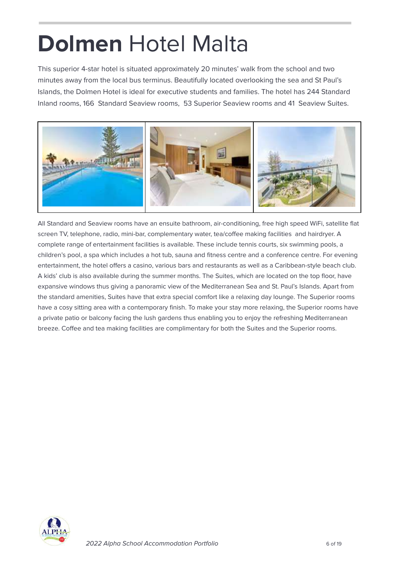### <span id="page-5-0"></span>**Dolmen** Hotel Malta

This superior 4-star hotel is situated approximately 20 minutes' walk from the school and two minutes away from the local bus terminus. Beautifully located overlooking the sea and St Paul's Islands, the Dolmen Hotel is ideal for executive students and families. The hotel has 244 Standard Inland rooms, 166 Standard Seaview rooms, 53 Superior Seaview rooms and 41 Seaview Suites.



All Standard and Seaview rooms have an ensuite bathroom, air-conditioning, free high speed WiFi, satellite flat screen TV, telephone, radio, mini-bar, complementary water, tea/coffee making facilities and hairdryer. A complete range of entertainment facilities is available. These include tennis courts, six swimming pools, a children's pool, a spa which includes a hot tub, sauna and fitness centre and a conference centre. For evening entertainment, the hotel offers a casino, various bars and restaurants as well as a Caribbean-style beach club. A kids' club is also available during the summer months. The Suites, which are located on the top floor, have expansive windows thus giving a panoramic view of the Mediterranean Sea and St. Paul's Islands. Apart from the standard amenities, Suites have that extra special comfort like a relaxing day lounge. The Superior rooms have a cosy sitting area with a contemporary finish. To make your stay more relaxing, the Superior rooms have a private patio or balcony facing the lush gardens thus enabling you to enjoy the refreshing Mediterranean breeze. Coffee and tea making facilities are complimentary for both the Suites and the Superior rooms.

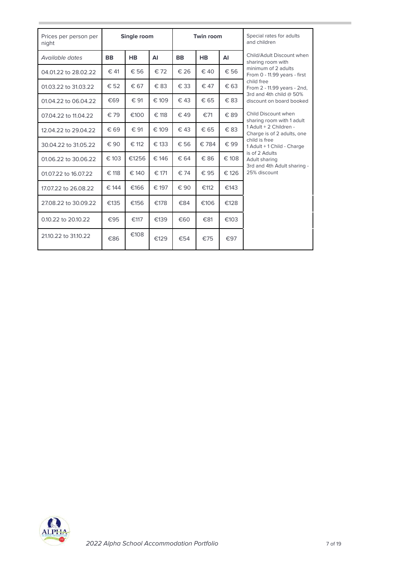| Prices per person per<br>night | <b>Twin room</b><br>Single room |           |          |               | Special rates for adults<br>and children |       |                                                                |
|--------------------------------|---------------------------------|-----------|----------|---------------|------------------------------------------|-------|----------------------------------------------------------------|
| Available dates                | <b>BB</b>                       | <b>HB</b> | AI       | <b>BB</b>     | <b>HB</b>                                | AI    | Child/Adult Discount when<br>sharing room with                 |
| 04.01.22 to 28.02.22           | $\in$ 41                        | € 56      | $\in$ 72 | € 26          | $\epsilon$ 40                            | € 56  | minimum of 2 adults<br>From 0 - 11.99 years - first            |
| 01.03.22 to 31.03.22           | € 52                            | € 67      | €83      | € 33          | € 47                                     | € 63  | child free<br>From 2 - 11.99 years - 2nd,                      |
| 01.04.22 to 06.04.22           | €69                             | € 91      | € 109    | $\in$ 43      | € 65                                     | € 83  | 3rd and 4th child @ 50%<br>discount on board booked            |
| 07.04.22 to 11.04.22           | € 79                            | €100      | € 118    | € 49          | €71                                      | € 89  | Child Discount when<br>sharing room with 1 adult               |
| 12.04.22 to 29.04.22           | € 69                            | € 91      | € 109    | € 43          | € 65                                     | € 83  | 1 Adult + 2 Children -<br>Charge is of 2 adults, one           |
| 30.04.22 to 31.05.22           | € 90                            | € 112     | € 133    | € 56          | €784                                     | € 99  | child is free<br>1 Adult + 1 Child - Charge                    |
| 01.06.22 to 30.06.22           | € 103                           | €1256     | € 146    | € 64          | € 86                                     | € 108 | is of 2 Adults<br>Adult sharing<br>3rd and 4th Adult sharing - |
| 01.07.22 to 16.07.22           | € 118                           | € 140     | € 171    | $\epsilon$ 74 | € 95                                     | € 126 | 25% discount                                                   |
| 17.07.22 to 26.08.22           | € 144                           | €166      | € 197    | € 90          | €112                                     | €143  |                                                                |
| 27.08.22 to 30.09.22           | €135                            | €156      | €178     | €84           | €106                                     | €128  |                                                                |
| 0.10.22 to 20.10.22            | €95                             | €117      | €139     | €60           | €81                                      | €103  |                                                                |
| 21.10.22 to 31.10.22           | €86                             | €108      | €129     | €54           | €75                                      | €97   |                                                                |

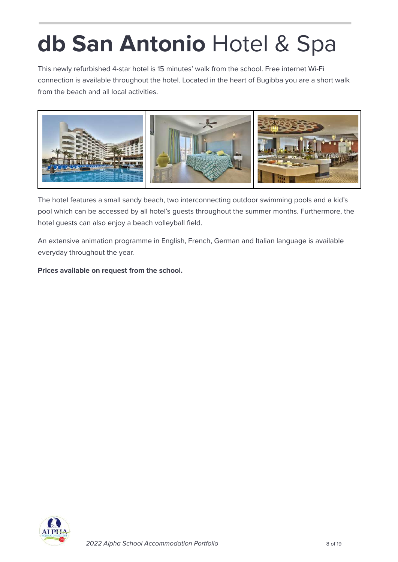# **db San Antonio** Hotel & Spa

This newly refurbished 4-star hotel is 15 minutes' walk from the school. Free internet Wi-Fi connection is available throughout the hotel. Located in the heart of Bugibba you are a short walk from the beach and all local activities.



The hotel features a small sandy beach, two interconnecting outdoor swimming pools and a kid's pool which can be accessed by all hotel's guests throughout the summer months. Furthermore, the hotel guests can also enjoy a beach volleyball field.

An extensive animation programme in English, French, German and Italian language is available everyday throughout the year.

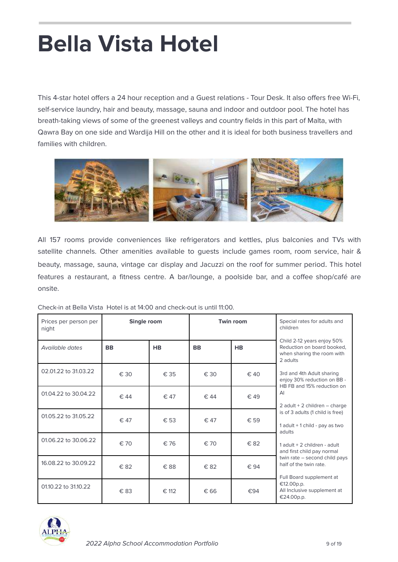# **Bella Vista Hotel**

This 4-star hotel offers a 24 hour reception and a Guest relations - Tour Desk. It also offers free Wi-Fi, self-service laundry, hair and beauty, massage, sauna and indoor and outdoor pool. The hotel has breath-taking views of some of the greenest valleys and country fields in this part of Malta, with Qawra Bay on one side and Wardija Hill on the other and it is ideal for both business travellers and families with children.



All 157 rooms provide conveniences like refrigerators and kettles, plus balconies and TVs with satellite channels. Other amenities available to guests include games room, room service, hair & beauty, massage, sauna, vintage car display and Jacuzzi on the roof for summer period. This hotel features a restaurant, a fitness centre. A bar/lounge, a poolside bar, and a coffee shop/café are onsite.

| Prices per person per<br>night | Single room |           |                        | <b>Twin room</b> | Special rates for adults and<br>children                                                           |  |  |
|--------------------------------|-------------|-----------|------------------------|------------------|----------------------------------------------------------------------------------------------------|--|--|
| Available dates                | <b>BB</b>   | <b>HB</b> | <b>BB</b><br><b>HB</b> |                  | Child 2-12 years enjoy 50%<br>Reduction on board booked,<br>when sharing the room with<br>2 adults |  |  |
| 02.01.22 to 31.03.22           | € 30        | € 35      | € 30                   | € 40             | 3rd and 4th Adult sharing<br>enjoy 30% reduction on BB -<br>HB FB and 15% reduction on             |  |  |
| 01.04.22 to 30.04.22           | € 44        | € 47      | € 44                   | $\in$ 49         | $\mathsf{A}$ l<br>2 adult + 2 children $-$ charge                                                  |  |  |
| 01.05.22 to 31.05.22           | € 47        | € 53      | € 47                   | € 59             | is of 3 adults (1 child is free)<br>1 adult + 1 child - pay as two<br>adults                       |  |  |
| 01.06.22 to 30.06.22           | € 70        | € 76      | € 70                   | € 82             | 1 adult $+$ 2 children - adult<br>and first child pay normal                                       |  |  |
| 16.08.22 to 30.09.22           | € 82        | € 88      | € 82                   | € 94             | twin rate - second child pays<br>half of the twin rate.<br>Full Board supplement at                |  |  |
| 01.10.22 to 31.10.22           | € 83        | € 112     | € 66                   | €94              | €12.00p.p.<br>All Inclusive supplement at<br>€24.00p.p.                                            |  |  |

Check-in at Bella Vista Hotel is at 14:00 and check-out is until 11:00.

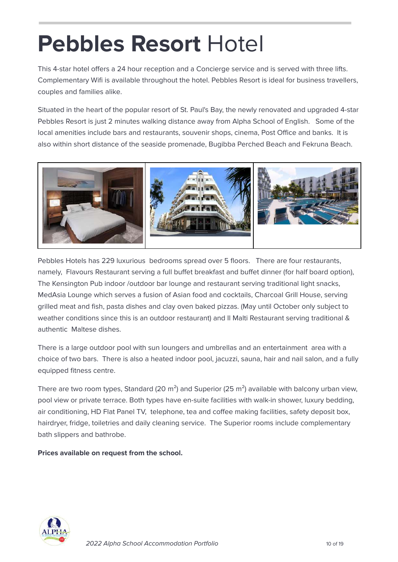### **Pebbles Resort** Hotel

This 4-star hotel offers a 24 hour reception and a Concierge service and is served with three lifts. Complementary Wifi is available throughout the hotel. Pebbles Resort is ideal for business travellers, couples and families alike.

Situated in the heart of the popular resort of St. Paul's Bay, the newly renovated and upgraded 4-star Pebbles Resort is just 2 minutes walking distance away from Alpha School of English. Some of the local amenities include bars and restaurants, souvenir shops, cinema, Post Office and banks. It is also within short distance of the seaside promenade, Bugibba Perched Beach and Fekruna Beach.



Pebbles Hotels has 229 luxurious bedrooms spread over 5 floors. There are four restaurants, namely, Flavours Restaurant serving a full buffet breakfast and buffet dinner (for half board option), The Kensington Pub indoor /outdoor bar lounge and restaurant serving traditional light snacks, MedAsia Lounge which serves a fusion of Asian food and cocktails, Charcoal Grill House, serving grilled meat and fish, pasta dishes and clay oven baked pizzas. (May until October only subject to weather conditions since this is an outdoor restaurant) and Il Malti Restaurant serving traditional & authentic Maltese dishes.

There is a large outdoor pool with sun loungers and umbrellas and an entertainment area with a choice of two bars. There is also a heated indoor pool, jacuzzi, sauna, hair and nail salon, and a fully equipped fitness centre.

There are two room types, Standard (20  $m<sup>2</sup>$ ) and Superior (25  $m<sup>2</sup>$ ) available with balcony urban view, pool view or private terrace. Both types have en-suite facilities with walk-in shower, luxury bedding, air conditioning, HD Flat Panel TV, telephone, tea and coffee making facilities, safety deposit box, hairdryer, fridge, toiletries and daily cleaning service. The Superior rooms include complementary bath slippers and bathrobe.

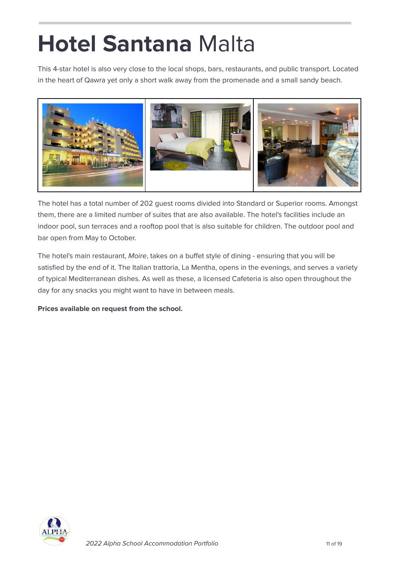## **Hotel Santana** Malta

This 4-star hotel is also very close to the local shops, bars, restaurants, and public transport. Located in the heart of Qawra yet only a short walk away from the promenade and a small sandy beach.



The hotel has a total number of 202 guest rooms divided into Standard or Superior rooms. Amongst them, there are a limited number of suites that are also available. The hotel's facilities include an indoor pool, sun terraces and a rooftop pool that is also suitable for children. The outdoor pool and bar open from May to October.

The hotel's main restaurant, Moire, takes on a buffet style of dining - ensuring that you will be satisfied by the end of it. The Italian trattoria, La Mentha, opens in the evenings, and serves a variety of typical Mediterranean dishes. As well as these, a licensed Cafeteria is also open throughout the day for any snacks you might want to have in between meals.

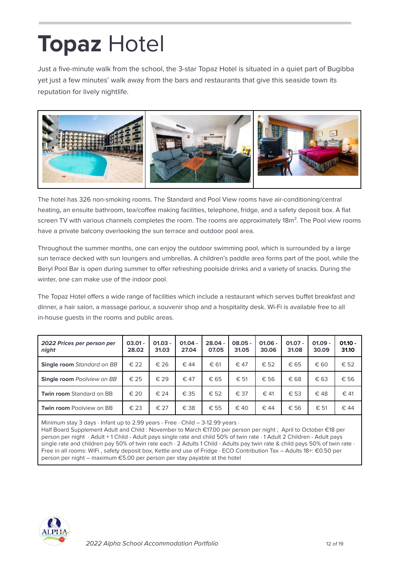## **Topaz** Hotel

Just a five-minute walk from the school, the 3-star Topaz Hotel is situated in a quiet part of Bugibba yet just a few minutes' walk away from the bars and restaurants that give this seaside town its reputation for lively nightlife.



The hotel has 326 non-smoking rooms. The Standard and Pool View rooms have air-conditioning/central heating, an ensuite bathroom, tea/coffee making facilities, telephone, fridge, and a safety deposit box. A flat screen TV with various channels completes the room. The rooms are approximately 18m<sup>2</sup>. The Pool view rooms have a private balcony overlooking the sun terrace and outdoor pool area.

Throughout the summer months, one can enjoy the outdoor swimming pool, which is surrounded by a large sun terrace decked with sun loungers and umbrellas. A children's paddle area forms part of the pool, while the Beryl Pool Bar is open during summer to offer refreshing poolside drinks and a variety of snacks. During the winter, one can make use of the indoor pool.

The Topaz Hotel offers a wide range of facilities which include a restaurant which serves buffet breakfast and dinner, a hair salon, a massage parlour, a souvenir shop and a hospitality desk. Wi-Fi is available free to all in-house guests in the rooms and public areas.

| 2022 Prices per person per<br>night | $03.01 -$<br>28.02 | $01.03 -$<br>31.03 | $01.04 -$<br>27.04 | $28.04 -$<br>07.05 | $08.05 -$<br>31.05 | $01.06 -$<br>30.06 | $01.07 -$<br>31.08 | $01.09 -$<br>30.09 | $01.10 -$<br>31.10 |
|-------------------------------------|--------------------|--------------------|--------------------|--------------------|--------------------|--------------------|--------------------|--------------------|--------------------|
| <b>Single room</b> Standard on BB   | $\in$ 22           | € 26               | € 44               | € 61               | $\in$ 47           | € 52               | € 65               | € 60               | $\epsilon$ 52      |
| <b>Single room</b> Poolview on BB   | $\in$ 25           | $\epsilon$ 29      | € 47               | € 65               | € 51               | € 56               | € 68               | € 63               | € 56               |
| <b>Twin room Standard on BB</b>     | $\epsilon$ 20      | € 24               | € 35               | € 52               | € 37               | $\in$ 41           | € 53               | €48                | € 41               |
| <b>Twin room Poolview on BB</b>     | € 23               | € 27               | € 38               | $\in$ 55           | $\epsilon$ 40      | $\in$ 44           | € 56               | € 51               | € 44               |

Minimum stay 3 days  $\cdot$  Infant up to 2.99 years - Free  $\cdot$  Child – 3-12.99 years  $\cdot$ 

Half Board Supplement Adult and Child : November to March €17.00 per person per night ; April to October €18 per person per night · Adult + 1 Child - Adult pays single rate and child 50% of twin rate · 1 Adult 2 Children - Adult pays single rate and children pay 50% of twin rate each · 2 Adults 1 Child - Adults pay twin rate & child pays 50% of twin rate · Free in all rooms: WiFi , safety deposit box, Kettle and use of Fridge · ECO Contribution Tax – Adults 18+: €0.50 per person per night – maximum €5.00 per person per stay payable at the hotel

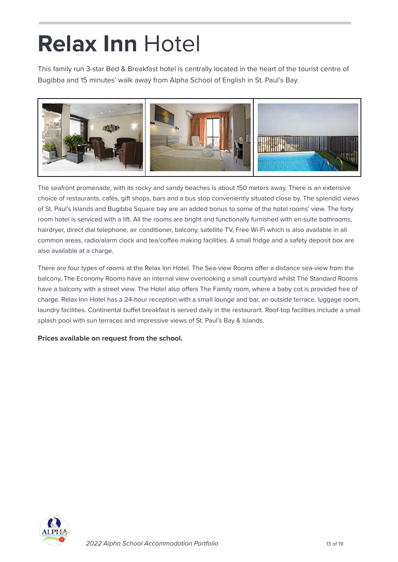### **Relax Inn** Hotel

This family run 3-star Bed & Breakfast hotel is centrally located in the heart of the tourist centre of Bugibba and 15 minutes' walk away from Alpha School of English in St. Paul's Bay.



The seafront promenade, with its rocky and sandy beaches is about 150 meters away. There is an extensive choice of restaurants, cafés, gift shops, bars and a bus stop conveniently situated close by. The splendid views of St. Paul's Islands and Bugibba Square bay are an added bonus to some of the hotel rooms' view. The forty room hotel is serviced with a lift. All the rooms are bright and functionally furnished with en-suite bathrooms, hairdryer, direct dial telephone, air conditioner, balcony, satellite TV, Free Wi-Fi which is also available in all common areas, radio/alarm clock and tea/coffee making facilities. A small fridge and a safety deposit box are also available at a charge.

There are four types of rooms at the Relax Inn Hotel. The Sea-view Rooms offer a distance sea-view from the balcony, The Economy Rooms have an internal view overlooking a small courtyard whilst The Standard Rooms have a balcony with a street view. The Hotel also offers The Family room, where a baby cot is provided free of charge. Relax Inn Hotel has a 24-hour reception with a small lounge and bar, an outside terrace, luggage room, laundry facilities. Continental buffet breakfast is served daily in the restaurant. Roof-top facilities include a small splash pool with sun terraces and impressive views of St. Paul's Bay & Islands.

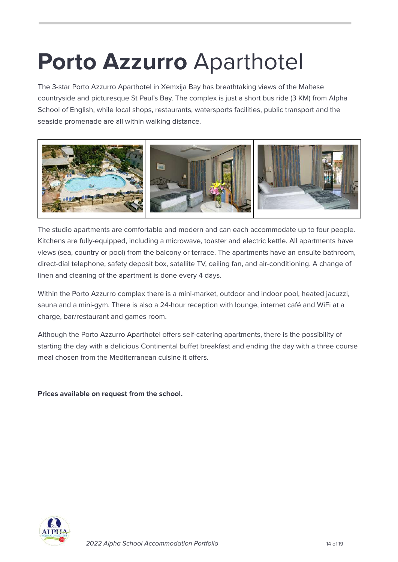### <span id="page-13-0"></span>**Porto Azzurro** Aparthotel

The 3-star Porto Azzurro Aparthotel in Xemxija Bay has breathtaking views of the Maltese countryside and picturesque St Paul's Bay. The complex is just a short bus ride (3 KM) from Alpha School of English, while local shops, restaurants, watersports facilities, public transport and the seaside promenade are all within walking distance.



The studio apartments are comfortable and modern and can each accommodate up to four people. Kitchens are fully-equipped, including a microwave, toaster and electric kettle. All apartments have views (sea, country or pool) from the balcony or terrace. The apartments have an ensuite bathroom, direct-dial telephone, safety deposit box, satellite TV, ceiling fan, and air-conditioning. A change of linen and cleaning of the apartment is done every 4 days.

Within the Porto Azzurro complex there is a mini-market, outdoor and indoor pool, heated jacuzzi, sauna and a mini-gym. There is also a 24-hour reception with lounge, internet café and WiFi at a charge, bar/restaurant and games room.

Although the Porto Azzurro Aparthotel offers self-catering apartments, there is the possibility of starting the day with a delicious Continental buffet breakfast and ending the day with a three course meal chosen from the Mediterranean cuisine it offers.

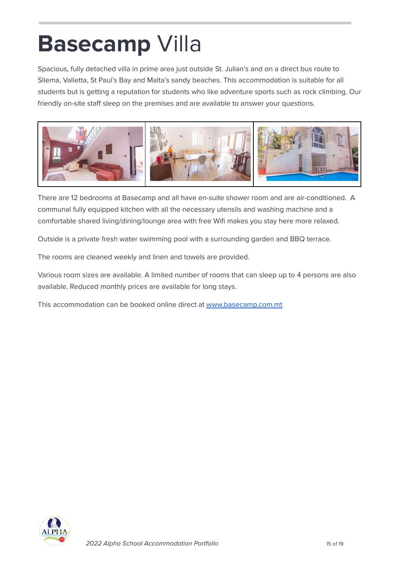### <span id="page-14-0"></span>**Basecamp** Villa

Spacious, fully detached villa in prime area just outside St. Julian's and on a direct bus route to Sliema, Valletta, St Paul's Bay and Malta's sandy beaches. This accommodation is suitable for all students but is getting a reputation for students who like adventure sports such as rock climbing. Our friendly on-site staff sleep on the premises and are available to answer your questions.



There are 12 bedrooms at Basecamp and all have en-suite shower room and are air-conditioned. A communal fully equipped kitchen with all the necessary utensils and washing machine and a comfortable shared living/dining/lounge area with free Wifi makes you stay here more relaxed.

Outside is a private fresh water swimming pool with a surrounding garden and BBQ terrace.

The rooms are cleaned weekly and linen and towels are provided.

Various room sizes are available. A limited number of rooms that can sleep up to 4 persons are also available. Reduced monthly prices are available for long stays.

This accommodation can be booked online direct at [www.basecamp.com.mt](http://www.basecamp.com.mt)

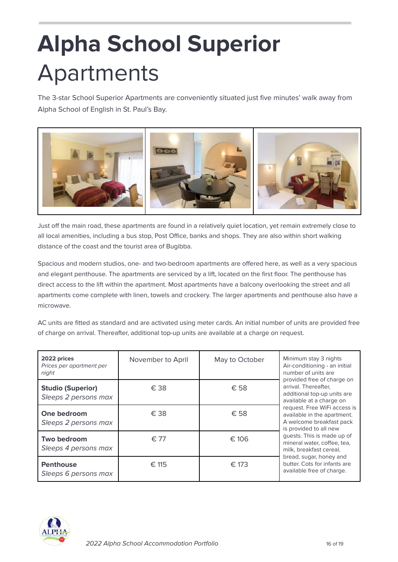# <span id="page-15-0"></span>**Alpha School Superior** Apartments

The 3-star School Superior Apartments are conveniently situated just five minutes' walk away from Alpha School of English in St. Paul's Bay.



Just off the main road, these apartments are found in a relatively quiet location, yet remain extremely close to all local amenities, including a bus stop, Post Office, banks and shops. They are also within short walking distance of the coast and the tourist area of Bugibba.

Spacious and modern studios, one- and two-bedroom apartments are offered here, as well as a very spacious and elegant penthouse. The apartments are serviced by a lift, located on the first floor. The penthouse has direct access to the lift within the apartment. Most apartments have a balcony overlooking the street and all apartments come complete with linen, towels and crockery. The larger apartments and penthouse also have a microwave.

AC units are fitted as standard and are activated using meter cards. An initial number of units are provided free of charge on arrival. Thereafter, additional top-up units are available at a charge on request.

| 2022 prices<br>Prices per apartment per<br>night | November to April | May to October | Minimum stay 3 nights<br>Air-conditioning - an initial<br>number of units are<br>provided free of charge on       |  |  |  |
|--------------------------------------------------|-------------------|----------------|-------------------------------------------------------------------------------------------------------------------|--|--|--|
| <b>Studio (Superior)</b><br>Sleeps 2 persons max | € 38              | € 58           | arrival. Thereafter,<br>additional top-up units are<br>available at a charge on                                   |  |  |  |
| One bedroom<br>Sleeps 2 persons max              | € 38              | € 58           | request. Free WiFi access is<br>available in the apartment.<br>A welcome breakfast pack<br>is provided to all new |  |  |  |
| Two bedroom<br>Sleeps 4 persons max              | $\epsilon$ 77     | $\epsilon$ 106 | quests. This is made up of<br>mineral water, coffee, tea,<br>milk, breakfast cereal,                              |  |  |  |
| <b>Penthouse</b><br>Sleeps 6 persons max         | $\in$ 115         | € 173          | bread, sugar, honey and<br>butter. Cots for infants are<br>available free of charge.                              |  |  |  |

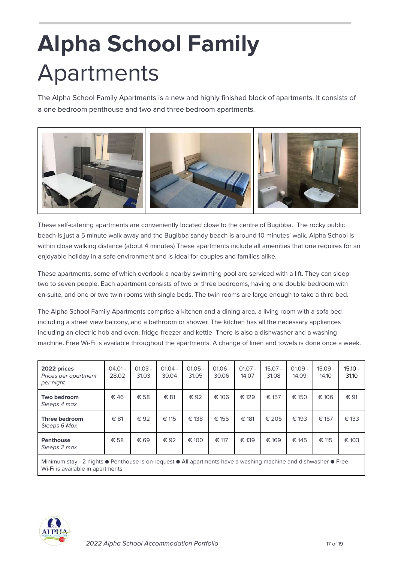# <span id="page-16-0"></span>**Alpha School Family** Apartments

The Alpha School Family Apartments is a new and highly finished block of apartments. It consists of a one bedroom penthouse and two and three bedroom apartments.



These self-catering apartments are conveniently located close to the centre of Bugibba. The rocky public beach is just a 5 minute walk away and the Bugibba sandy beach is around 10 minutes' walk. Alpha School is within close walking distance (about 4 minutes) These apartments include all amenities that one requires for an enjoyable holiday in a safe environment and is ideal for couples and families alike.

These apartments, some of which overlook a nearby swimming pool are serviced with a lift. They can sleep two to seven people. Each apartment consists of two or three bedrooms, having one double bedroom with en-suite, and one or two twin rooms with single beds. The twin rooms are large enough to take a third bed.

The Alpha School Family Apartments comprise a kitchen and a dining area, a living room with a sofa bed including a street view balcony, and a bathroom or shower. The kitchen has all the necessary appliances including an electric hob and oven, fridge-freezer and kettle There is also a dishwasher and a washing machine. Free Wi-Fi is available throughout the apartments. A change of linen and towels is done once a week.

| 2022 prices<br>Prices per apartment<br>per night | $04.01 -$<br>28.02 | $01.03 -$<br>31.03 | $01.04 -$<br>30.04 | $01.05 -$<br>31.05 | $01.06 -$<br>30.06 | $01.07 -$<br>14.07 | $15.07 -$<br>31.08 | $01.09 -$<br>14.09 | $15.09 -$<br>14.10 | $15.10 -$<br>31.10 |
|--------------------------------------------------|--------------------|--------------------|--------------------|--------------------|--------------------|--------------------|--------------------|--------------------|--------------------|--------------------|
| Two bedroom<br>Sleeps 4 max                      | €46                | € 58               | € 81               | € 92               | € 106              | € 129              | € 157              | € 150              | € 106              | € 91               |
| Three bedroom<br>Sleeps 6 Max                    | € 81               | € 92               | € 115              | € 138              | € 155              | € 181              | € 205              | € 193              | € 157              | € 133              |
| <b>Penthouse</b><br>Sleeps 2 max                 | € 58               | € 69               | € 92               | € 100              | € 117              | € 139              | € 169              | € 145              | € 115              | € 103              |

Minimum stay - 2 nights ● Penthouse is on request ● All apartments have a washing machine and dishwasher ● Free Wi-Fi is available in apartments

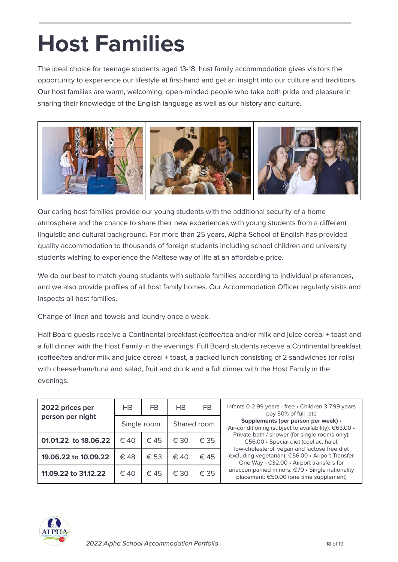# <span id="page-17-0"></span>**Host Families**

The ideal choice for teenage students aged 13-18, host family accommodation gives visitors the opportunity to experience our lifestyle at first-hand and get an insight into our culture and traditions. Our host families are warm, welcoming, open-minded people who take both pride and pleasure in sharing their knowledge of the English language as well as our history and culture.



Our caring host families provide our young students with the additional security of a home atmosphere and the chance to share their new experiences with young students from a different linguistic and cultural background. For more than 25 years, Alpha School of English has provided quality accommodation to thousands of foreign students including school children and university students wishing to experience the Maltese way of life at an affordable price.

We do our best to match young students with suitable families according to individual preferences, and we also provide profiles of all host family homes. Our Accommodation Officer regularly visits and inspects all host families.

Change of linen and towels and laundry once a week.

Half Board guests receive a Continental breakfast (coffee/tea and/or milk and juice cereal + toast and a full dinner with the Host Family in the evenings. Full Board students receive a Continental breakfast (coffee/tea and/or milk and juice cereal + toast, a packed lunch consisting of 2 sandwiches (or rolls) with cheese/ham/tuna and salad, fruit and drink and a full dinner with the Host Family in the evenings.

| 2022 prices per      | НB            | FB            | HB            | <b>FB</b>     | Infants 0-2.99 years - free . Children 3-7.99 years<br>pay 50% of full rate                                                                  |
|----------------------|---------------|---------------|---------------|---------------|----------------------------------------------------------------------------------------------------------------------------------------------|
| person per night     | Single room   |               |               | Shared room   | Supplements (per person per week) ·<br>Air-conditioning (subject to availability): €63.00 •                                                  |
| 01.01.22 to 18.06.22 | $\epsilon$ 40 | $\in$ 45      | $\epsilon$ 30 | $\epsilon$ 35 | Private bath / shower (for single rooms only):<br>€56.00 · Special diet (coeliac, halal,                                                     |
| 19.06.22 to 10.09.22 | $\epsilon$ 48 | $\epsilon$ 53 | $\epsilon$ 40 | $\in$ 45      | low-cholesterol, vegan and lactose free diet<br>excluding vegetarian): €56.00 · Airport Transfer<br>One Way - €32.00 • Airport transfers for |
| 11.09.22 to 31.12.22 | $\epsilon$ 40 | $\in$ 45      | € 30          | €.35          | unaccompanied minors: €70 · Single nationality<br>placement: €50.00 (one time supplement)                                                    |